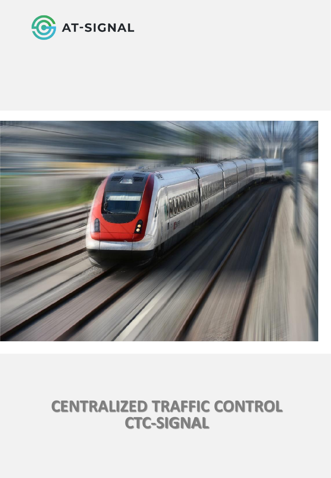

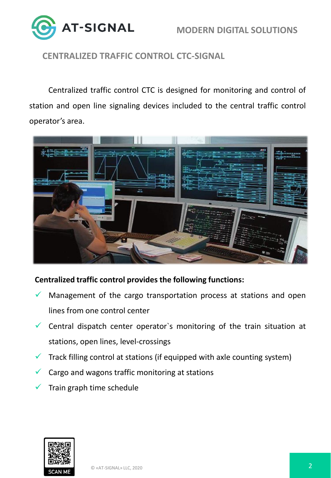



Centralized traffic control CTC is designed for monitoring and control of station and open line signaling devices included to the central traffic control operator's area.



#### **Centralized traffic control provides the following functions:**

- Management of the cargo transportation process at stations and open lines from one control center
- $\checkmark$  Central dispatch center operator's monitoring of the train situation at stations, open lines, level-crossings
- $\checkmark$  Track filling control at stations (if equipped with axle counting system)
- $\checkmark$  Cargo and wagons traffic monitoring at stations
- Train graph time schedule

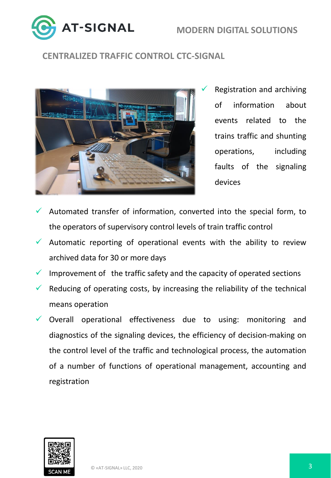**AT-SIGNAL** 

# **CENTRALIZED TRAFFIC CONTROL CTC-SIGNAL**



Registration and archiving of information about events related to the trains traffic and shunting operations, including faults of the signaling devices

- Automated transfer of information, converted into the special form, to the operators of supervisory control levels of train traffic control
- $\checkmark$  Automatic reporting of operational events with the ability to review archived data for 30 or more days
- $\checkmark$  Improvement of the traffic safety and the capacity of operated sections
- $\checkmark$  Reducing of operating costs, by increasing the reliability of the technical means operation
- $\checkmark$  Overall operational effectiveness due to using: monitoring and diagnostics of the signaling devices, the efficiency of decision-making on the control level of the traffic and technological process, the automation of a number of functions of operational management, accounting and registration

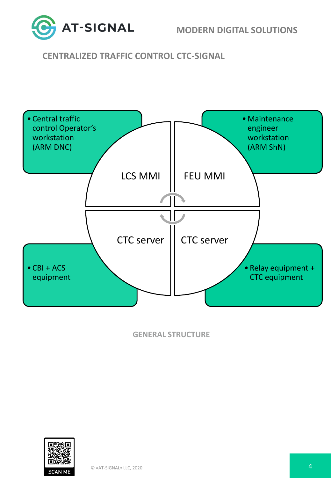

**MODERN DIGITAL SOLUTIONS**

## **CENTRALIZED TRAFFIC CONTROL CTC-SIGNAL**



**GENERAL STRUCTURE**

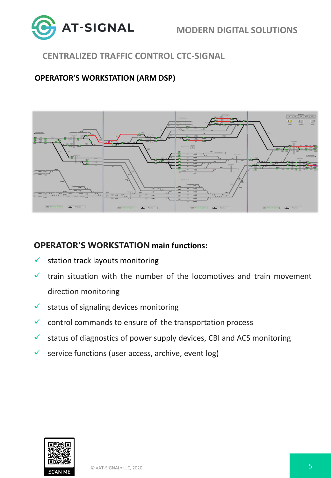

#### **OPERATOR'S WORKSTATION (ARM DSP)**



#### **OPERATOR'S WORKSTATION main functions:**

- $\checkmark$  station track layouts monitoring
- $\checkmark$  train situation with the number of the locomotives and train movement direction monitoring
- $\checkmark$  status of signaling devices monitoring
- $\checkmark$  control commands to ensure of the transportation process
- $\checkmark$  status of diagnostics of power supply devices, CBI and ACS monitoring
- $\checkmark$  service functions (user access, archive, event log)

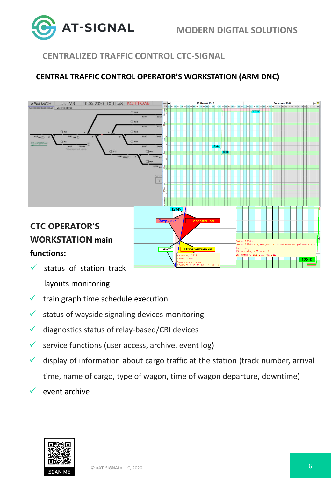

## **CENTRAL TRAFFIC CONTROL OPERATOR'S WORKSTATION (ARM DNC)**



 $\checkmark$  status of station track

layouts monitoring

- $\checkmark$  train graph time schedule execution
- $\checkmark$  status of wayside signaling devices monitoring
- ✓ diagnostics status of relay-based/CBI devices
- $\checkmark$  service functions (user access, archive, event log)
- $\checkmark$  display of information about cargo traffic at the station (track number, arrival time, name of cargo, type of wagon, time of wagon departure, downtime)
	- event archive

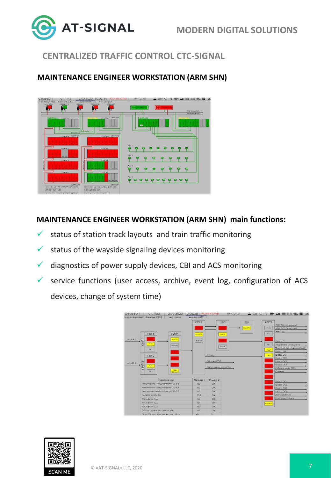

#### **MAINTENANCE ENGINEER WORKSTATION (ARM SHN)**



#### **MAINTENANCE ENGINEER WORKSTATION (ARM SHN) main functions:**

- $\checkmark$  status of station track layouts and train traffic monitoring
- $\checkmark$  status of the wayside signaling devices monitoring
- $\checkmark$  diagnostics of power supply devices, CBI and ACS monitoring
- $\checkmark$  service functions (user access, archive, event log, configuration of ACS devices, change of system time)